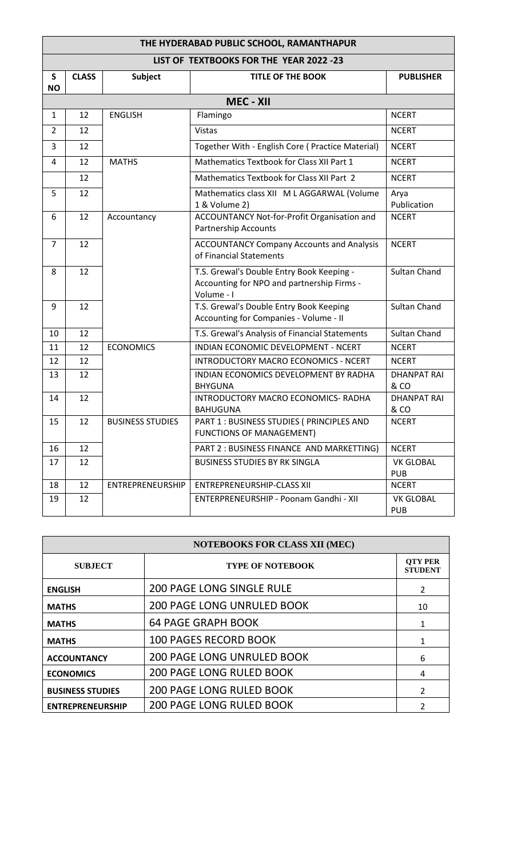| THE HYDERABAD PUBLIC SCHOOL, RAMANTHAPUR |              |                         |                                                                                                       |                                |  |  |  |  |
|------------------------------------------|--------------|-------------------------|-------------------------------------------------------------------------------------------------------|--------------------------------|--|--|--|--|
| LIST OF TEXTBOOKS FOR THE YEAR 2022 -23  |              |                         |                                                                                                       |                                |  |  |  |  |
| S<br><b>NO</b>                           | <b>CLASS</b> | Subject                 | <b>TITLE OF THE BOOK</b>                                                                              | <b>PUBLISHER</b>               |  |  |  |  |
| <b>MEC - XII</b>                         |              |                         |                                                                                                       |                                |  |  |  |  |
| 1                                        | 12           | <b>ENGLISH</b>          | Flamingo                                                                                              | <b>NCERT</b>                   |  |  |  |  |
| $\overline{2}$                           | 12           |                         | <b>Vistas</b>                                                                                         | <b>NCERT</b>                   |  |  |  |  |
| 3                                        | 12           |                         | Together With - English Core (Practice Material)                                                      | <b>NCERT</b>                   |  |  |  |  |
| 4                                        | 12           | <b>MATHS</b>            | Mathematics Textbook for Class XII Part 1                                                             | <b>NCERT</b>                   |  |  |  |  |
|                                          | 12           |                         | Mathematics Textbook for Class XII Part 2                                                             | <b>NCERT</b>                   |  |  |  |  |
| 5                                        | 12           |                         | Mathematics class XII M L AGGARWAL (Volume<br>1 & Volume 2)                                           | Arya<br>Publication            |  |  |  |  |
| 6                                        | 12           | Accountancy             | ACCOUNTANCY Not-for-Profit Organisation and<br><b>Partnership Accounts</b>                            | <b>NCERT</b>                   |  |  |  |  |
| $\overline{7}$                           | 12           |                         | <b>ACCOUNTANCY Company Accounts and Analysis</b><br>of Financial Statements                           | <b>NCERT</b>                   |  |  |  |  |
| 8                                        | 12           |                         | T.S. Grewal's Double Entry Book Keeping -<br>Accounting for NPO and partnership Firms -<br>Volume - I | <b>Sultan Chand</b>            |  |  |  |  |
| 9                                        | 12           |                         | T.S. Grewal's Double Entry Book Keeping<br>Accounting for Companies - Volume - II                     | <b>Sultan Chand</b>            |  |  |  |  |
| 10                                       | 12           |                         | T.S. Grewal's Analysis of Financial Statements                                                        | <b>Sultan Chand</b>            |  |  |  |  |
| 11                                       | 12           | <b>ECONOMICS</b>        | INDIAN ECONOMIC DEVELOPMENT - NCERT                                                                   | <b>NCERT</b>                   |  |  |  |  |
| 12                                       | 12           |                         | INTRODUCTORY MACRO ECONOMICS - NCERT                                                                  | <b>NCERT</b>                   |  |  |  |  |
| 13                                       | 12           |                         | INDIAN ECONOMICS DEVELOPMENT BY RADHA<br><b>BHYGUNA</b>                                               | <b>DHANPAT RAI</b><br>& CO     |  |  |  |  |
| 14                                       | 12           |                         | INTRODUCTORY MACRO ECONOMICS- RADHA<br><b>BAHUGUNA</b>                                                | <b>DHANPAT RAI</b><br>& CO     |  |  |  |  |
| 15                                       | 12           | <b>BUSINESS STUDIES</b> | PART 1 : BUSINESS STUDIES ( PRINCIPLES AND<br><b>FUNCTIONS OF MANAGEMENT)</b>                         | <b>NCERT</b>                   |  |  |  |  |
| 16                                       | 12           |                         | PART 2 : BUSINESS FINANCE AND MARKETTING)                                                             | <b>NCERT</b>                   |  |  |  |  |
| 17                                       | 12           |                         | <b>BUSINESS STUDIES BY RK SINGLA</b>                                                                  | <b>VK GLOBAL</b><br><b>PUB</b> |  |  |  |  |
| 18                                       | 12           | ENTREPRENEURSHIP        | <b>ENTREPRENEURSHIP-CLASS XII</b>                                                                     | <b>NCERT</b>                   |  |  |  |  |
| 19                                       | 12           |                         | ENTERPRENEURSHIP - Poonam Gandhi - XII                                                                | <b>VK GLOBAL</b><br><b>PUB</b> |  |  |  |  |

| <b>NOTEBOOKS FOR CLASS XII (MEC)</b> |                                   |                                  |  |  |  |
|--------------------------------------|-----------------------------------|----------------------------------|--|--|--|
| <b>SUBJECT</b>                       | <b>TYPE OF NOTEBOOK</b>           | <b>OTY PER</b><br><b>STUDENT</b> |  |  |  |
| <b>ENGLISH</b>                       | <b>200 PAGE LONG SINGLE RULE</b>  | $\mathcal{L}$                    |  |  |  |
| <b>MATHS</b>                         | <b>200 PAGE LONG UNRULED BOOK</b> | 10                               |  |  |  |
| <b>MATHS</b>                         | <b>64 PAGE GRAPH BOOK</b>         |                                  |  |  |  |
| <b>MATHS</b>                         | <b>100 PAGES RECORD BOOK</b>      |                                  |  |  |  |
| <b>ACCOUNTANCY</b>                   | <b>200 PAGE LONG UNRULED BOOK</b> | 6                                |  |  |  |
| <b>ECONOMICS</b>                     | <b>200 PAGE LONG RULED BOOK</b>   | 4                                |  |  |  |
| <b>BUSINESS STUDIES</b>              | <b>200 PAGE LONG RULED BOOK</b>   | $\mathfrak{p}$                   |  |  |  |
| <b>ENTREPRENEURSHIP</b>              | <b>200 PAGE LONG RULED BOOK</b>   |                                  |  |  |  |